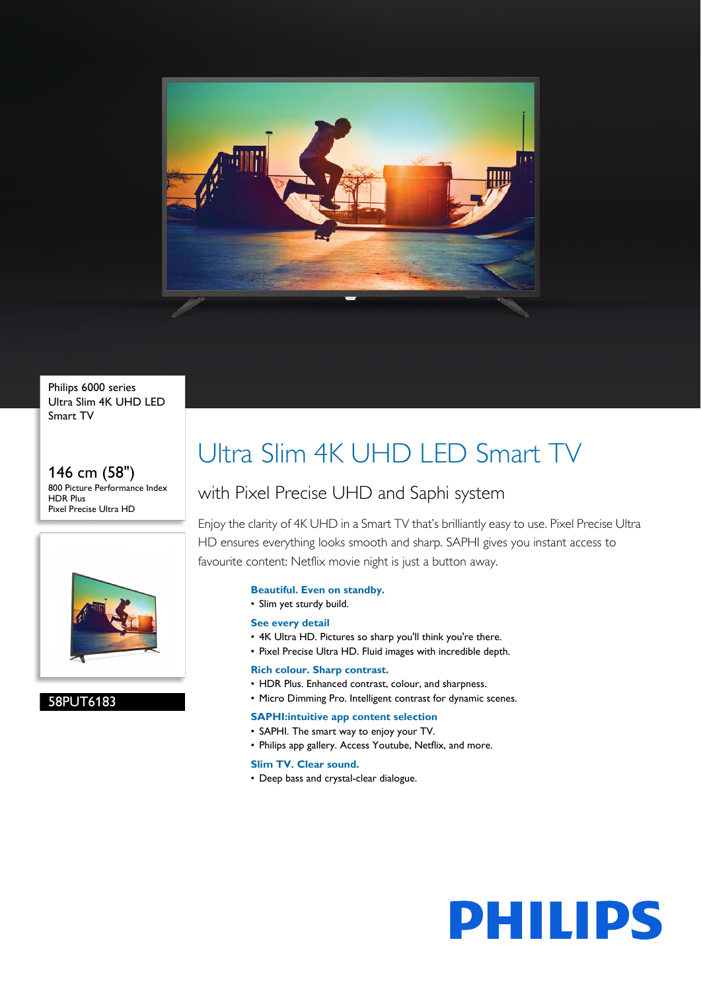

Philips 6000 series Ultra Slim 4K UHD LED Smart TV

146 cm (58") 800 Picture Performance Index HDR Plus Pixel Precise Ultra HD



# 58PUT6183

# Ultra Slim 4K UHD LED Smart TV

# with Pixel Precise UHD and Saphi system

Enjoy the clarity of 4K UHD in a Smart TV that's brilliantly easy to use. Pixel Precise Ultra HD ensures everything looks smooth and sharp. SAPHI gives you instant access to favourite content: Netflix movie night is just a button away.

# **Beautiful. Even on standby.**

• Slim yet sturdy build.

# **See every detail**

- 4K Ultra HD. Pictures so sharp you'll think you're there.
- Pixel Precise Ultra HD. Fluid images with incredible depth.

# **Rich colour. Sharp contrast.**

- HDR Plus. Enhanced contrast, colour, and sharpness.
- Micro Dimming Pro. Intelligent contrast for dynamic scenes.

# **SAPHI:intuitive app content selection**

- SAPHI. The smart way to enjoy your TV.
- Philips app gallery. Access Youtube, Netflix, and more.

#### **Slim TV. Clear sound.**

• Deep bass and crystal-clear dialogue.

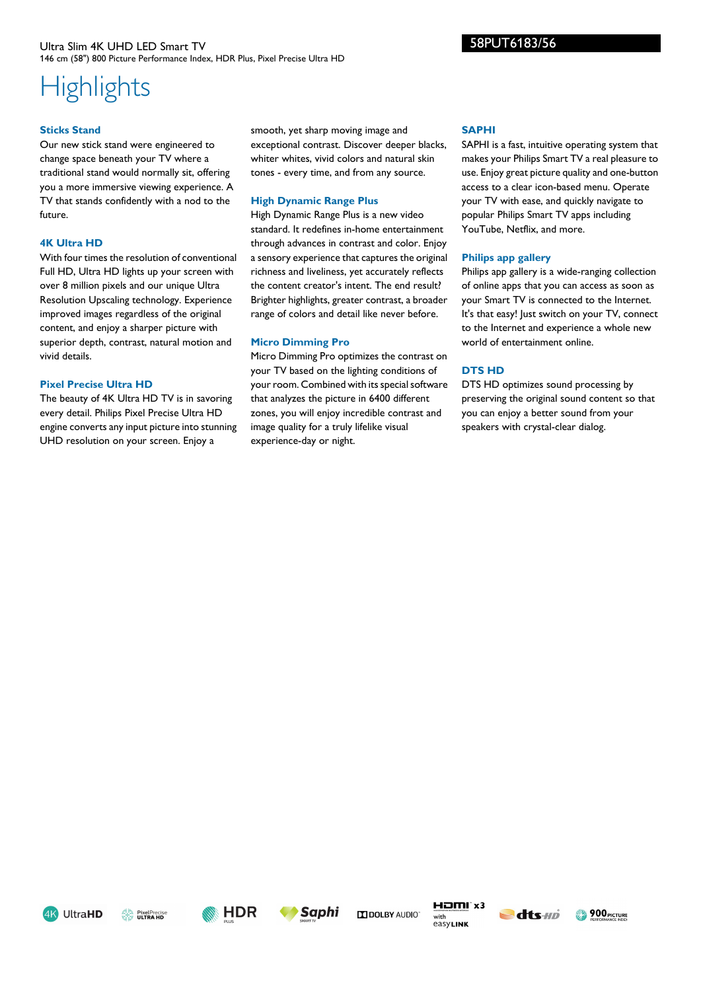# **Highlights**

#### **Sticks Stand**

Our new stick stand were engineered to change space beneath your TV where a traditional stand would normally sit, offering you a more immersive viewing experience. A TV that stands confidently with a nod to the future.

#### **4K Ultra HD**

With four times the resolution of conventional Full HD, Ultra HD lights up your screen with over 8 million pixels and our unique Ultra Resolution Upscaling technology. Experience improved images regardless of the original content, and enjoy a sharper picture with superior depth, contrast, natural motion and vivid details.

#### **Pixel Precise Ultra HD**

The beauty of 4K Ultra HD TV is in savoring every detail. Philips Pixel Precise Ultra HD engine converts any input picture into stunning UHD resolution on your screen. Enjoy a

smooth, yet sharp moving image and exceptional contrast. Discover deeper blacks, whiter whites, vivid colors and natural skin tones - every time, and from any source.

#### **High Dynamic Range Plus**

High Dynamic Range Plus is a new video standard. It redefines in-home entertainment through advances in contrast and color. Enjoy a sensory experience that captures the original richness and liveliness, yet accurately reflects the content creator's intent. The end result? Brighter highlights, greater contrast, a broader range of colors and detail like never before.

### **Micro Dimming Pro**

Micro Dimming Pro optimizes the contrast on your TV based on the lighting conditions of your room. Combined with its special software that analyzes the picture in 6400 different zones, you will enjoy incredible contrast and image quality for a truly lifelike visual experience-day or night.

#### **SAPHI**

SAPHI is a fast, intuitive operating system that makes your Philips Smart TV a real pleasure to use. Enjoy great picture quality and one-button access to a clear icon-based menu. Operate your TV with ease, and quickly navigate to popular Philips Smart TV apps including YouTube, Netflix, and more.

#### **Philips app gallery**

Philips app gallery is a wide-ranging collection of online apps that you can access as soon as your Smart TV is connected to the Internet. It's that easy! Just switch on your TV, connect to the Internet and experience a whole new world of entertainment online.

# **DTS HD**

DTS HD optimizes sound processing by preserving the original sound content so that you can enjoy a better sound from your speakers with crystal-clear dialog.









**IN DOLBY AUDIO** 







58PUT6183/56